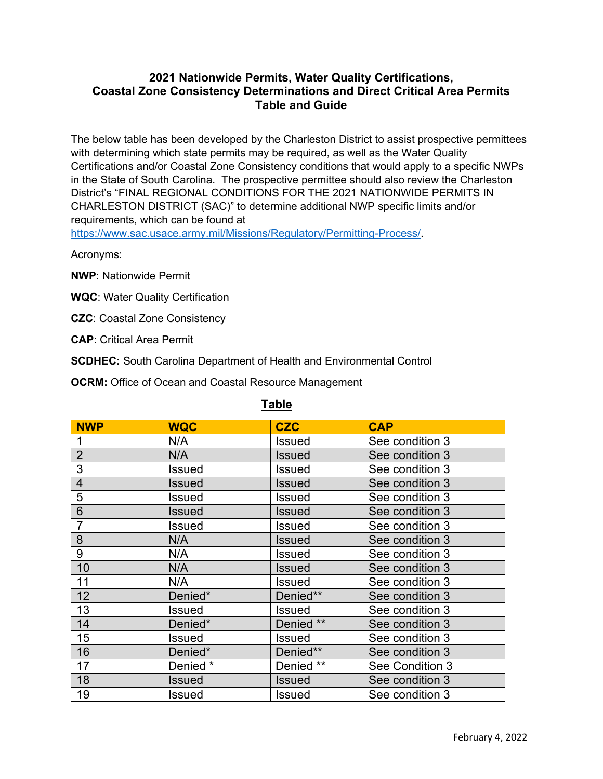# **2021 Nationwide Permits, Water Quality Certifications, Coastal Zone Consistency Determinations and Direct Critical Area Permits Table and Guide**

The below table has been developed by the Charleston District to assist prospective permittees with determining which state permits may be required, as well as the Water Quality Certifications and/or Coastal Zone Consistency conditions that would apply to a specific NWPs in the State of South Carolina. The prospective permittee should also review the Charleston District's "FINAL REGIONAL CONDITIONS FOR THE 2021 NATIONWIDE PERMITS IN CHARLESTON DISTRICT (SAC)" to determine additional NWP specific limits and/or requirements, which can be found at

[https://www.sac.usace.army.mil/Missions/Regulatory/Permitting-Process/.](https://www.sac.usace.army.mil/Missions/Regulatory/Permitting-Process/)

Acronyms:

**NWP**: Nationwide Permit

- **WQC**: Water Quality Certification
- **CZC**: Coastal Zone Consistency

**CAP**: Critical Area Permit

**SCDHEC:** South Carolina Department of Health and Environmental Control

**OCRM:** Office of Ocean and Coastal Resource Management

| <b>NWP</b>     | <b>WQC</b>    | <b>CZC</b>    | <b>CAP</b>      |
|----------------|---------------|---------------|-----------------|
|                | N/A           | <b>Issued</b> | See condition 3 |
| $\overline{2}$ | N/A           | <b>Issued</b> | See condition 3 |
| 3              | Issued        | <b>Issued</b> | See condition 3 |
| $\overline{4}$ | Issued        | <b>Issued</b> | See condition 3 |
| 5              | Issued        | <b>Issued</b> | See condition 3 |
| 6              | Issued        | <b>Issued</b> | See condition 3 |
| $\overline{7}$ | Issued        | <b>Issued</b> | See condition 3 |
| 8              | N/A           | <b>Issued</b> | See condition 3 |
| 9              | N/A           | <b>Issued</b> | See condition 3 |
| 10             | N/A           | <b>Issued</b> | See condition 3 |
| 11             | N/A           | Issued        | See condition 3 |
| 12             | Denied*       | Denied**      | See condition 3 |
| 13             | Issued        | <b>Issued</b> | See condition 3 |
| 14             | Denied*       | Denied **     | See condition 3 |
| 15             | <b>Issued</b> | <b>Issued</b> | See condition 3 |
| 16             | Denied*       | Denied**      | See condition 3 |
| 17             | Denied *      | Denied **     | See Condition 3 |
| 18             | <b>Issued</b> | <b>Issued</b> | See condition 3 |
| 19             | Issued        | <b>Issued</b> | See condition 3 |

## **Table**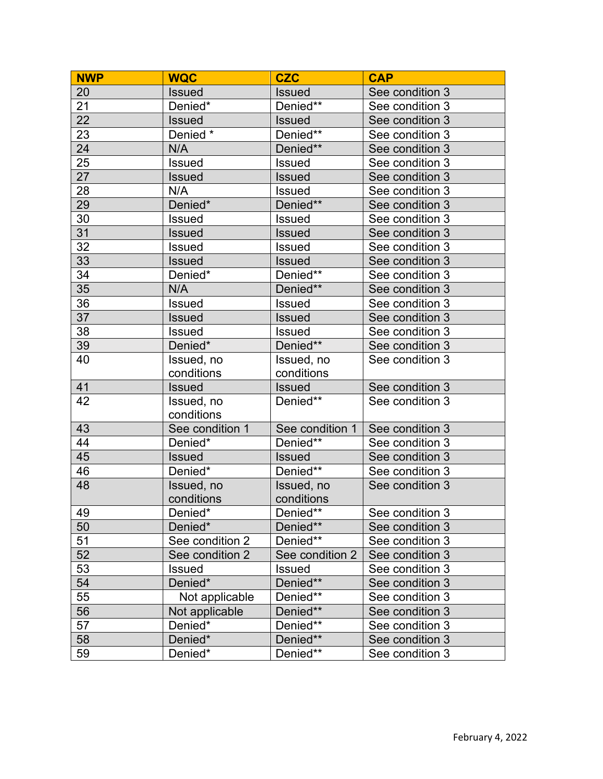| <b>NWP</b> | <b>WQC</b>      | <b>CZC</b>      | <b>CAP</b>      |
|------------|-----------------|-----------------|-----------------|
| 20         | <b>Issued</b>   | <b>Issued</b>   | See condition 3 |
| 21         | Denied*         | Denied**        | See condition 3 |
| 22         | <b>Issued</b>   | <b>Issued</b>   | See condition 3 |
| 23         | Denied *        | Denied**        | See condition 3 |
| 24         | N/A             | Denied**        | See condition 3 |
| 25         | <b>Issued</b>   | <b>Issued</b>   | See condition 3 |
| 27         | <b>Issued</b>   | <b>Issued</b>   | See condition 3 |
| 28         | N/A             | Issued          | See condition 3 |
| 29         | Denied*         | Denied**        | See condition 3 |
| 30         | <b>Issued</b>   | <b>Issued</b>   | See condition 3 |
| 31         | <b>Issued</b>   | <b>Issued</b>   | See condition 3 |
| 32         | Issued          | <b>Issued</b>   | See condition 3 |
| 33         | <b>Issued</b>   | <b>Issued</b>   | See condition 3 |
| 34         | Denied*         | Denied**        | See condition 3 |
| 35         | N/A             | Denied**        | See condition 3 |
| 36         | <b>Issued</b>   | <b>Issued</b>   | See condition 3 |
| 37         | Issued          | <b>Issued</b>   | See condition 3 |
| 38         | <b>Issued</b>   | <b>Issued</b>   | See condition 3 |
| 39         | Denied*         | Denied**        | See condition 3 |
| 40         | Issued, no      | Issued, no      | See condition 3 |
|            | conditions      | conditions      |                 |
| 41         | <b>Issued</b>   | <b>Issued</b>   | See condition 3 |
| 42         | Issued, no      | Denied**        | See condition 3 |
|            | conditions      |                 |                 |
| 43         | See condition 1 | See condition 1 | See condition 3 |
| 44         | Denied*         | Denied**        | See condition 3 |
| 45         | <b>Issued</b>   | <b>Issued</b>   | See condition 3 |
| 46         | Denied*         | Denied**        | See condition 3 |
| 48         | Issued, no      | Issued, no      | See condition 3 |
|            | conditions      | conditions      |                 |
| 49         | Denied*         | Denied**        | See condition 3 |
| 50         | Denied*         | Denied**        | See condition 3 |
| 51         | See condition 2 | Denied**        | See condition 3 |
| 52         | See condition 2 | See condition 2 | See condition 3 |
| 53         | <b>Issued</b>   | Issued          | See condition 3 |
| 54         | Denied*         | Denied**        | See condition 3 |
| 55         | Not applicable  | Denied**        | See condition 3 |
| 56         | Not applicable  | Denied**        | See condition 3 |
| 57         | Denied*         | Denied**        | See condition 3 |
| 58         | Denied*         | Denied**        | See condition 3 |
| 59         | Denied*         | Denied**        | See condition 3 |